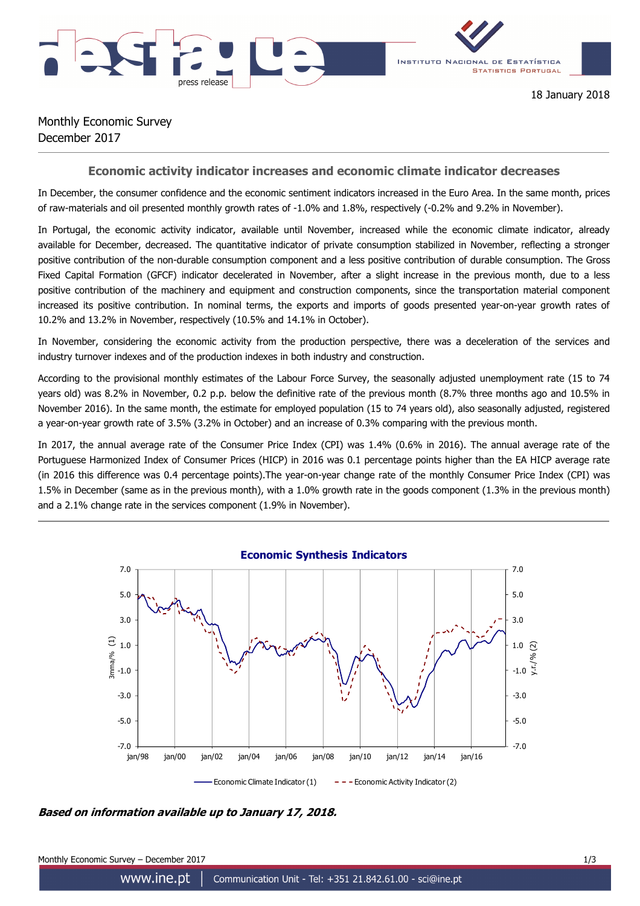

18 January 2018

## Monthly Economic Survey December 2017

## **Economic activity indicator increases and economic climate indicator decreases**

In December, the consumer confidence and the economic sentiment indicators increased in the Euro Area. In the same month, prices of raw-materials and oil presented monthly growth rates of -1.0% and 1.8%, respectively (-0.2% and 9.2% in November).

In Portugal, the economic activity indicator, available until November, increased while the economic climate indicator, already available for December, decreased. The quantitative indicator of private consumption stabilized in November, reflecting a stronger positive contribution of the non-durable consumption component and a less positive contribution of durable consumption. The Gross Fixed Capital Formation (GFCF) indicator decelerated in November, after a slight increase in the previous month, due to a less positive contribution of the machinery and equipment and construction components, since the transportation material component increased its positive contribution. In nominal terms, the exports and imports of goods presented year-on-year growth rates of 10.2% and 13.2% in November, respectively (10.5% and 14.1% in October).

In November, considering the economic activity from the production perspective, there was a deceleration of the services and industry turnover indexes and of the production indexes in both industry and construction.

According to the provisional monthly estimates of the Labour Force Survey, the seasonally adjusted unemployment rate (15 to 74 years old) was 8.2% in November, 0.2 p.p. below the definitive rate of the previous month (8.7% three months ago and 10.5% in November 2016). In the same month, the estimate for employed population (15 to 74 years old), also seasonally adjusted, registered a year-on-year growth rate of 3.5% (3.2% in October) and an increase of 0.3% comparing with the previous month.

In 2017, the annual average rate of the Consumer Price Index (CPI) was 1.4% (0.6% in 2016). The annual average rate of the Portuguese Harmonized Index of Consumer Prices (HICP) in 2016 was 0.1 percentage points higher than the EA HICP average rate (in 2016 this difference was 0.4 percentage points).The year-on-year change rate of the monthly Consumer Price Index (CPI) was 1.5% in December (same as in the previous month), with a 1.0% growth rate in the goods component (1.3% in the previous month) and a 2.1% change rate in the services component (1.9% in November).



**Based on information available up to January 17, 2018.**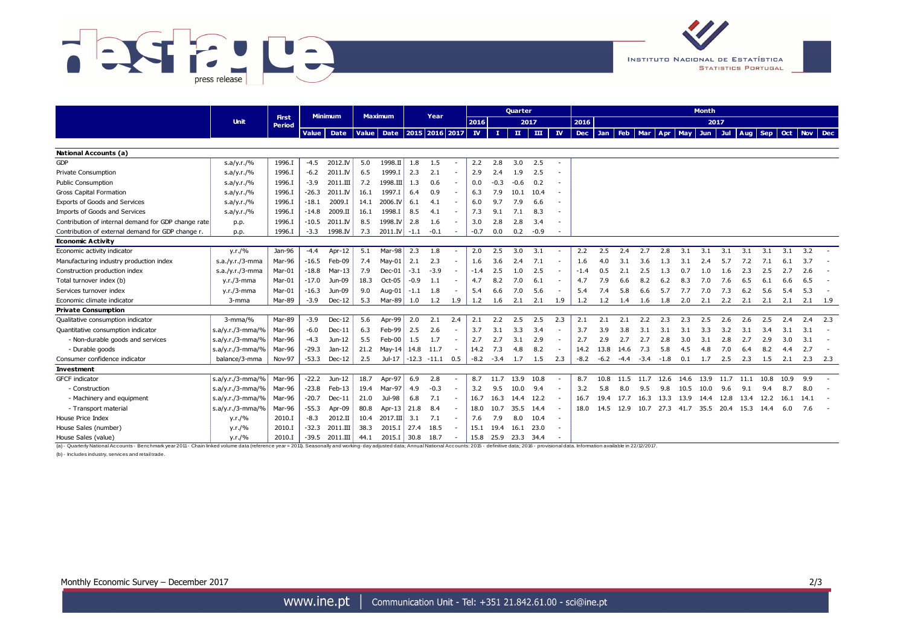



|                                                                                                                                                                                                                                | <b>Unit</b>        |                        | <b>Minimum</b> |                   | <b>Maximum</b> |                    | Year   |                           |        | <b>Quarter</b>            |             |                     |        |                           | <b>Month</b> |         |      |                |        |            |      |      |      |      |                       |           |       |
|--------------------------------------------------------------------------------------------------------------------------------------------------------------------------------------------------------------------------------|--------------------|------------------------|----------------|-------------------|----------------|--------------------|--------|---------------------------|--------|---------------------------|-------------|---------------------|--------|---------------------------|--------------|---------|------|----------------|--------|------------|------|------|------|------|-----------------------|-----------|-------|
|                                                                                                                                                                                                                                |                    | <b>First</b><br>Period |                |                   |                |                    |        |                           |        | 2016                      |             | 2017                |        | 2016                      |              |         |      |                |        |            |      | 2017 |      |      |                       |           |       |
|                                                                                                                                                                                                                                |                    |                        | <b>Value</b>   | Date              | <b>Value</b>   |                    |        | Date   2015   2016   2017 |        | $\mathbf{I}$ $\mathbf{V}$ | т.          | $\mathbf{H}$        | ш      | $\mathbf{I}$ $\mathbf{V}$ |              | Dec Jan |      | <b>Feb</b> Mar | Apr    | <b>May</b> | Jun  |      |      |      | Jul   Aug   Sep   Oct | Nov Dec   |       |
|                                                                                                                                                                                                                                |                    |                        |                |                   |                |                    |        |                           |        |                           |             |                     |        |                           |              |         |      |                |        |            |      |      |      |      |                       |           |       |
| National Accounts (a)                                                                                                                                                                                                          |                    |                        |                |                   |                |                    |        |                           |        |                           |             |                     |        |                           |              |         |      |                |        |            |      |      |      |      |                       |           |       |
| <b>GDP</b>                                                                                                                                                                                                                     | s.a/y.r./%         | 1996.I                 | $-4.5$         | 2012.IV           | 5.0            | $1998.\n\text{II}$ | 1.8    | 1.5                       |        | 2.2                       | 2.8         | 3.0                 | 2.5    |                           |              |         |      |                |        |            |      |      |      |      |                       |           |       |
| Private Consumption                                                                                                                                                                                                            | s.a/y.r./%         | 1996.I                 | $-6.2$         | 2011.IV           | 6.5            | 1999.I             | 2.3    | 2.1                       |        | 2.9                       | 2.4         | 1.9                 | 2.5    |                           |              |         |      |                |        |            |      |      |      |      |                       |           |       |
| Public Consumption                                                                                                                                                                                                             | s.a/y.r./%         | 1996.I                 | $-3.9$         | $2011.\text{III}$ | 7.2            | 1998.III           | 1.3    | 0.6                       |        | 0.0                       | -0.3        | $-0.6$              | 0.2    |                           |              |         |      |                |        |            |      |      |      |      |                       |           |       |
| Gross Capital Formation                                                                                                                                                                                                        | s.a/y.r./%         | 1996.I                 | $-26.3$        | 2011.IV           | 16.1           | 1997.I             | 6.4    | 0.9                       | $\sim$ | 6.3                       | 7.9         | 10.1                | 10.4   |                           |              |         |      |                |        |            |      |      |      |      |                       |           |       |
| Exports of Goods and Services                                                                                                                                                                                                  | s.a/y.r./%         | 1996.I                 | $-18.1$        | 2009.I            | 14.1           | 2006.IV            | 6.1    | 4.1                       | $\sim$ | 6.0                       | 9.7         | 7.9                 | 6.6    | ۰                         |              |         |      |                |        |            |      |      |      |      |                       |           |       |
| Imports of Goods and Services                                                                                                                                                                                                  | s.a/y.r./%         | 1996.I                 | $-14.8$        | 2009.II           | 16.1           | 1998.I             | 8.5    | 4.1                       | $\sim$ | 7.3                       | 9.1         | 7.1                 | 8.3    |                           |              |         |      |                |        |            |      |      |      |      |                       |           |       |
| Contribution of internal demand for GDP change rate                                                                                                                                                                            | p.p.               | 1996.I                 | $-10.5$        | 2011.IV           | 8.5            | 1998.IV            | 2.8    | 1.6                       |        | 3.0                       | 2.8         | 2.8                 | 3.4    |                           |              |         |      |                |        |            |      |      |      |      |                       |           |       |
| Contribution of external demand for GDP change r.                                                                                                                                                                              | p.p.               | 1996.I                 | $-3.3$         | 1998.IV           | 7.3            | 2011.IV            | $-1.1$ | $-0.1$                    | $\sim$ | $-0.7$                    | 0.0         | 0.2                 | $-0.9$ |                           |              |         |      |                |        |            |      |      |      |      |                       |           |       |
| <b>Economic Activity</b>                                                                                                                                                                                                       |                    |                        |                |                   |                |                    |        |                           |        |                           |             |                     |        |                           |              |         |      |                |        |            |      |      |      |      |                       |           |       |
| Economic activity indicator                                                                                                                                                                                                    | y.r./%             | Jan-96                 | $-4.4$         | Apr-12            | 5.1            | Mar-98             | 2.3    | 1.8                       | $\sim$ | 2.0                       | 2.5         | 3.0                 | 3.1    |                           | 2.2          | 2.5     | 2.4  | 2.7            | 2.8    | 3.1        | 3.1  | 3.1  | 3.1  | 3.1  | 3.1                   | 3.2       |       |
| Manufacturing industry production index                                                                                                                                                                                        | $s.a./y.r./3-mma$  | Mar-96                 | $-16.5$        | Feb-09            | 7.4            | May-01             | 2.1    | 2.3                       | $\sim$ | 1.6                       | 3.6         | 2.4                 | 7.1    |                           | 1.6          | 4.0     | 3.1  | 3.6            | 1.3    | 3.1        | 2.4  | 5.7  | 7.2  | 7.1  | 6.1                   | 3.7       |       |
| Construction production index                                                                                                                                                                                                  | $s.a./y.r./3-mma$  | Mar-01                 | $-18.8$        | $Mar-13$          | 7.9            | $Dec-01$           | $-3.1$ | $-3.9$                    | $\sim$ | $-1.4$                    | 2.5         | 1.0                 | 2.5    |                           | $-1.4$       | 0.5     | 2.1  | 2.5            | 1.3    | 0.7        | 1.0  | 1.6  | 2.3  | 2.5  | 2.7                   | 2.6       |       |
| Total turnover index (b)                                                                                                                                                                                                       | $y.r./3$ -mma      | Mar-01                 | $-17.0$        | Jun-09            | 18.3           | Oct-05             | $-0.9$ | 1.1                       |        | 4.7                       | 8.2         | 7.0                 | 6.1    |                           | 4.7          | 7.9     | 6.6  | 8.2            | 6.2    | 8.3        | 7.0  | 7.6  | 6.5  | 6.1  | 6.6                   | 6.5       |       |
| Services turnover index                                                                                                                                                                                                        | $y.r./3$ -mma      | Mar-01                 | $-16.3$        | Jun-09            | 9.0            | Aug-01             | $-1.1$ | 1.8                       |        | 5.4                       | 6.6         | 7.0                 | 5.6    |                           | 5.4          | 7.4     | 5.8  | 6.6            | 5.7    | 7.7        | 7.0  | 7.3  | 6.2  | 5.6  | 5.4                   | 5.3       |       |
| Economic climate indicator                                                                                                                                                                                                     | 3-mma              | Mar-89                 | $-3.9$         | $Dec-12$          | -5.3           | Mar-89             | 1.0    | 1.2                       | 1.9    | 1.2                       | 1.6         | 2.1                 | 2.1    | 1.9                       | 1.2          | 1.2     | 1.4  | 1.6            | 1.8    | 2.0        | 2.1  | 2.2  | 2.1  | 2.1  | 2.1                   | 2.1       | - 1.9 |
| <b>Private Consumption</b>                                                                                                                                                                                                     |                    |                        |                |                   |                |                    |        |                           |        |                           |             |                     |        |                           |              |         |      |                |        |            |      |      |      |      |                       |           |       |
| Oualitative consumption indicator                                                                                                                                                                                              | $3 - mma/$ %       | Mar-89                 | $-3.9$         | $Dec-12$          | 5.6            | Apr-99             | 2.0    | 2.1                       | 2.4    | 2.1                       | 2.2         | 2.5                 | 2.5    | 2.3                       | 2.1          | 2.1     | 2.1  | 2.2            | 2.3    | 2.3        | 2.5  | 2.6  | 2.6  | 2.5  | 2.4                   | 2.4       | 2.3   |
| Quantitative consumption indicator                                                                                                                                                                                             | s.a/y.r./3-mma/%   | Mar-96                 | $-6.0$         | $Dec-11$          | 6.3            | Feb-99             | 2.5    | 2.6                       | $\sim$ | 3.7                       | 3.1         | 3.3                 | 3.4    |                           | 3.7          | 3.9     | 3.8  | 3.1            | 3.1    | 3.1        | 3.3  | 3.2  | 3.1  | 3.4  | 3.1                   | 3.1       |       |
| - Non-durable goods and services                                                                                                                                                                                               | s.a/y.r./3-mma/%   | Mar-96                 | $-4.3$         | Jun-12            | 5.5            | Feb-00             | 1.5    | 1.7                       |        | 2.7                       | 2.7         | 3.1                 | 2.9    |                           | 2.7          | 2.9     | 2.7  | 2.7            | 2.8    | 3.0        | 3.1  | 2.8  | 2.7  | 2.9  | 3.0                   | 3.1       |       |
| - Durable goods                                                                                                                                                                                                                | s.a/y.r./3-mma/%   | Mar-96                 | $-29.3$        | $Jan-12$          | 21.2           | Mav-14             | 14.8   | 11.7                      |        | 14.2                      | 7.3         | 4.8                 | 8.2    |                           | 14.2         | 13.8    | 14.6 | 7.3            | 5.8    | 4.5        | 4.8  | 7.0  | 6.4  | 8.2  | 4.4                   | 2.7       |       |
| Consumer confidence indicator                                                                                                                                                                                                  | balance/3-mma      | Nov-97                 | $-53.3$        | $Dec-12$          | 2.5            | Jul-17 -12.3 -11.1 |        |                           | 0.5    |                           | $-8.2 -3.4$ | 1.7                 | 1.5    | 2.3                       | $-8.2$       | $-6.2$  | -4.4 | $-3.4$         | $-1.8$ | 0.1        | 1.7  | 2.5  | 2.3  | 1.5  | 2.1                   | $2.3$ 2.3 |       |
| <b>Investment</b>                                                                                                                                                                                                              |                    |                        |                |                   |                |                    |        |                           |        |                           |             |                     |        |                           |              |         |      |                |        |            |      |      |      |      |                       |           |       |
| <b>GFCF</b> indicator                                                                                                                                                                                                          | $s.a/y.r./3-mma/%$ | Mar-96                 | $-22.2$        | Jun-12            | 18.7           | Apr-97             | 6.9    | 2.8                       |        | 8.7                       | 11.7        | 13.9                | 10.8   |                           | 8.7          | 10.8    | 11.5 | 11.7           | 12.6   | 14.6       | 13.9 | 11.7 | 11.1 | 10.8 | 10.9                  | 9.9       |       |
| - Construction                                                                                                                                                                                                                 | s.a/y.r./3-mma/%   | Mar-96                 | $-23.8$        | $Feb-13$          | 19.4           | Mar-97             | 4.9    | $-0.3$                    | $\sim$ | 3.2                       | 9.5         | 10.0                | 9.4    |                           | 3.2          | 5.8     | 8.0  | 9.5            | 9.8    | 10.5       | 10.0 | 9.6  | 9.1  | 9.4  | 8.7                   | 8.0       |       |
| - Machinery and equipment                                                                                                                                                                                                      | s.a/y.r./3-mma/%   | Mar-96                 | $-20.7$        | $Dec-11$          | 21.0           | Jul-98             | 6.8    | 7.1                       | $\sim$ | 16.7                      | 16.3        | 14.4                | 12.2   |                           | 16.7         | 19.4    | 17.7 | 16.3           | 13.3   | 13.9       | 14.4 | 12.8 | 13.4 | 12.2 | 16.1                  | 14.1      |       |
| - Transport material                                                                                                                                                                                                           | s.a/y.r./3-mma/%   | Mar-96                 | $-55.3$        | Apr-09            | 80.8           | Apr-13             | 21.8   | 8.4                       | $\sim$ | 18.0                      | 10.7        | 35.5                | 14.4   |                           | 18.0         | 14.5    | 12.9 | 10.7           | 27.3   | 41.7       | 35.5 | 20.4 | 15.3 | 14.4 | 6.0                   | 7.6       |       |
| House Price Index                                                                                                                                                                                                              | y.r./%             | 2010.I                 | $-8.3$         | 2012.II           | 10.4           | $2017.$ III        | 3.1    | 7.1                       | $\sim$ | 7.6                       | 7.9         | 8.0                 | 10.4   | $\sim$                    |              |         |      |                |        |            |      |      |      |      |                       |           |       |
| House Sales (number)                                                                                                                                                                                                           | y.r./%             | 2010.I                 | $-32.3$        | $2011.\text{III}$ | 38.3           | 2015.I             | 27.4   | 18.5                      |        | 15.1                      | 19.4        | 16.1                | 23.0   |                           |              |         |      |                |        |            |      |      |      |      |                       |           |       |
| House Sales (value)                                                                                                                                                                                                            | y.r./%             | 2010.I                 | $-39.5$        | $2011.\text{III}$ | 44.1           | 2015.I             | 30.8   | 18.7                      | $\sim$ |                           |             | 15.8 25.9 23.3 34.4 |        |                           |              |         |      |                |        |            |      |      |      |      |                       |           |       |
| (a) - Quarterly National Accounts - Benchmark year 2011 - Chain linked yolume data (reference year = 2011). Seasonally and working - day adjusted data: Annual National Accounts: 2015 - definitive data: 2016 - provisional d |                    |                        |                |                   |                |                    |        |                           |        |                           |             |                     |        |                           |              |         |      |                |        |            |      |      |      |      |                       |           |       |

(b) - Includes industry, services and retail trade.